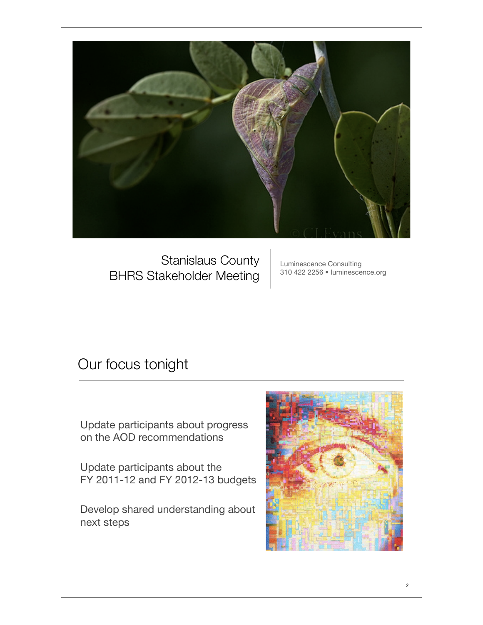

Stanislaus County BHRS Stakeholder Meeting

Luminescence Consulting 310 422 2256 • luminescence.org

## Our focus tonight

Update participants about progress on the AOD recommendations

Update participants about the FY 2011-12 and FY 2012-13 budgets

Develop shared understanding about next steps

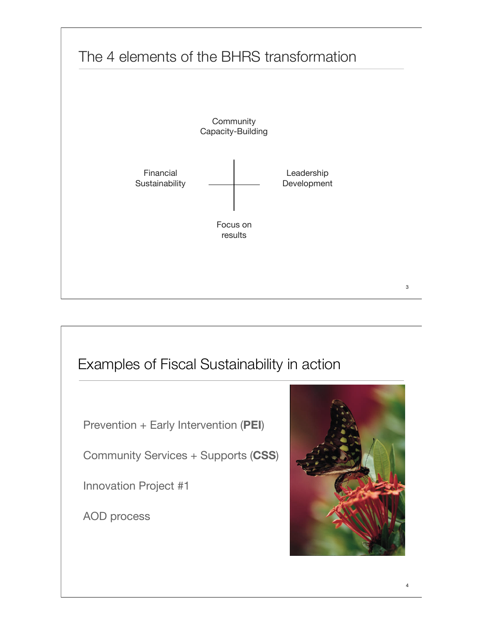

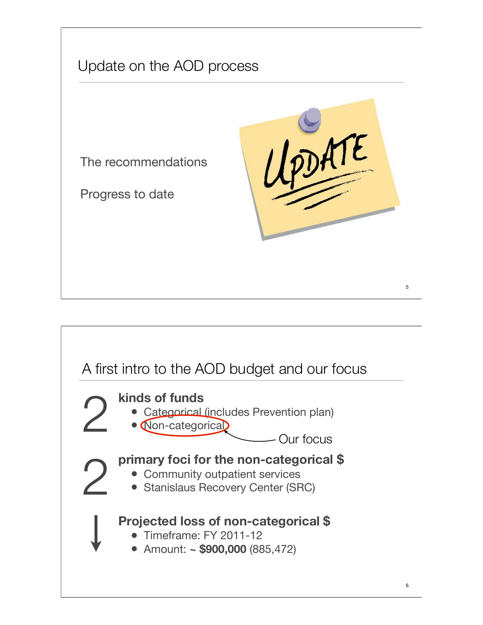

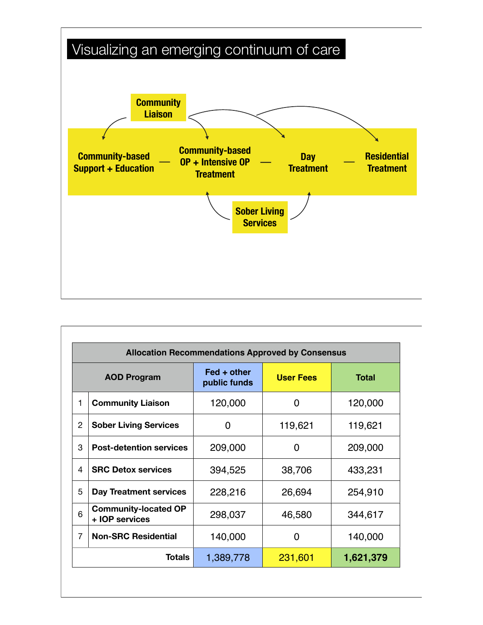

| <b>Allocation Recommendations Approved by Consensus</b> |                                               |                                                 |                  |              |
|---------------------------------------------------------|-----------------------------------------------|-------------------------------------------------|------------------|--------------|
| <b>AOD Program</b>                                      |                                               | $\textsf{Fed} + \textsf{other}$<br>public funds | <b>User Fees</b> | <b>Total</b> |
| 1                                                       | <b>Community Liaison</b>                      | 120,000                                         | 0                | 120,000      |
| 2                                                       | <b>Sober Living Services</b>                  | 0                                               | 119,621          | 119,621      |
| 3                                                       | <b>Post-detention services</b>                | 209,000                                         | 0                | 209,000      |
| 4                                                       | <b>SRC Detox services</b>                     | 394,525                                         | 38,706           | 433,231      |
| 5                                                       | <b>Day Treatment services</b>                 | 228,216                                         | 26,694           | 254,910      |
| 6                                                       | <b>Community-located OP</b><br>+ IOP services | 298,037                                         | 46,580           | 344,617      |
| $\overline{7}$                                          | <b>Non-SRC Residential</b>                    | 140,000                                         | 0                | 140,000      |
| Totals                                                  |                                               | 1,389,778                                       | 231,601          | 1,621,379    |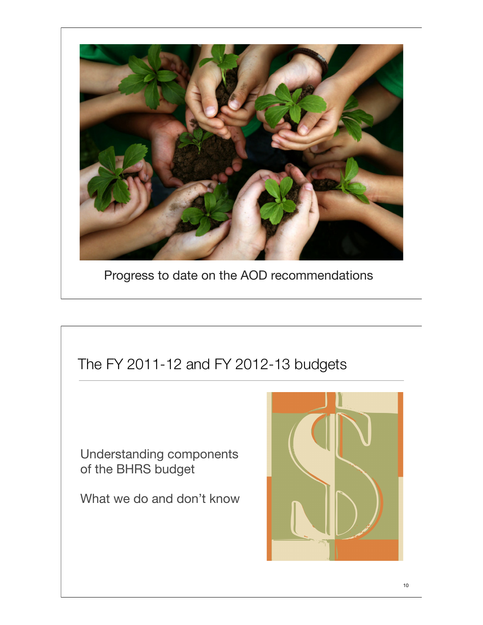

Progress to date on the AOD recommendations

# The FY 2011-12 and FY 2012-13 budgets Understanding components of the BHRS budget What we do and don't know